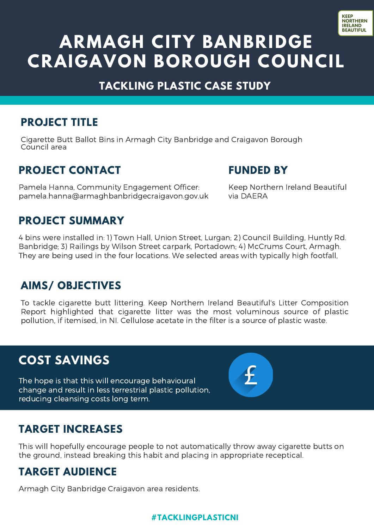

# **ARMAGH CITY BANBRIDGE CRAIGAVON BOROUGH COUNCIL**

#### **TACKLING PLASTIC CASE STUDY**

#### **PROJECT TITLE**

Cigarette Butt Ballot Bins in Armagh City Banbridge and Craigavon Borough Council area

#### **PROJECT CONTACT**

Pamela Hanna, Community Engagement Officer: pamela.hanna@armaghbanbridgecraigavon.gov.uk

#### **FUNDED BY**

Keep Northern Ireland Beautiful via DAERA

## **PROJECT SUMMARY**

4 bins were installed in: 1) Town Hall, Union Street, Lurgan; 2) Council Building, Huntly Rd. Banbridge; 3) Railings by Wilson Street carpark, Portadown; 4) McCrums Court, Armagh. They are being used in the four locations. We selected areas with typically high footfall,

## **AIMS/ OBJECTIVES**

To tackle cigarette butt littering. Keep Northern Ireland Beautiful's Litter Composition Report highlighted that cigarette litter was the most voluminous source of plastic pollution, if itemised, in NI. Cellulose acetate in the filter is a source of plastic waste.

## **COST SAVINGS**

The hope is that this will encourage behavioural change and result in less terrestrial plastic pollution, reducing cleansing costs long term.

## **TARGET INCREASES**

This will hopefully encourage people to not automatically throw away cigarette butts on the ground, instead breaking this habit and placing in appropriate receptical.

#### **TARGET AUDIENCE**

Armagh City Banbridge Craigavon area residents.

#### **#TACKLINGPLASTICNI**